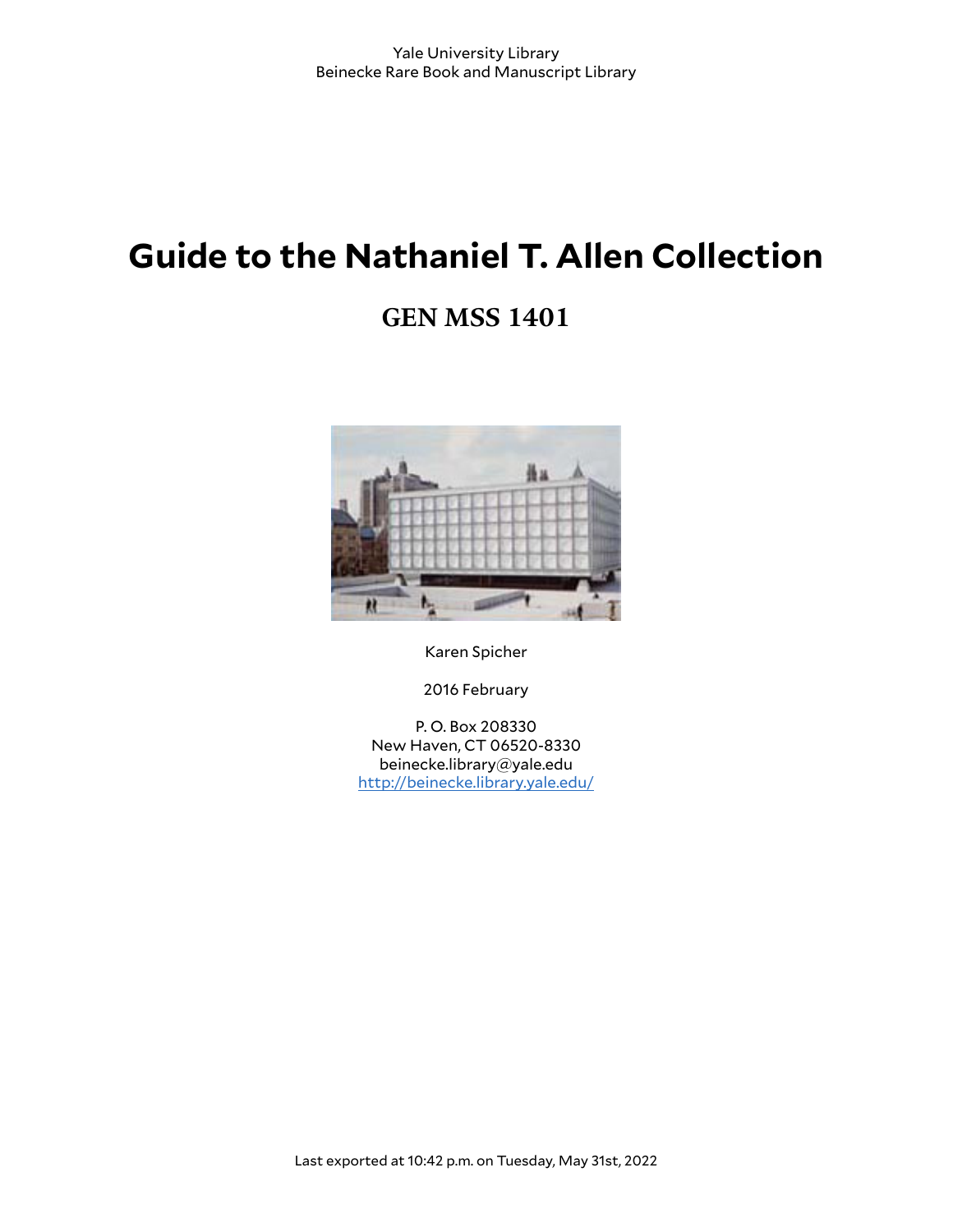# **Guide to the Nathaniel T. Allen Collection**

## **GEN MSS 1401**



Karen Spicher

2016 February

P. O. Box 208330 New Haven, CT 06520-8330 beinecke.library@yale.edu <http://beinecke.library.yale.edu/>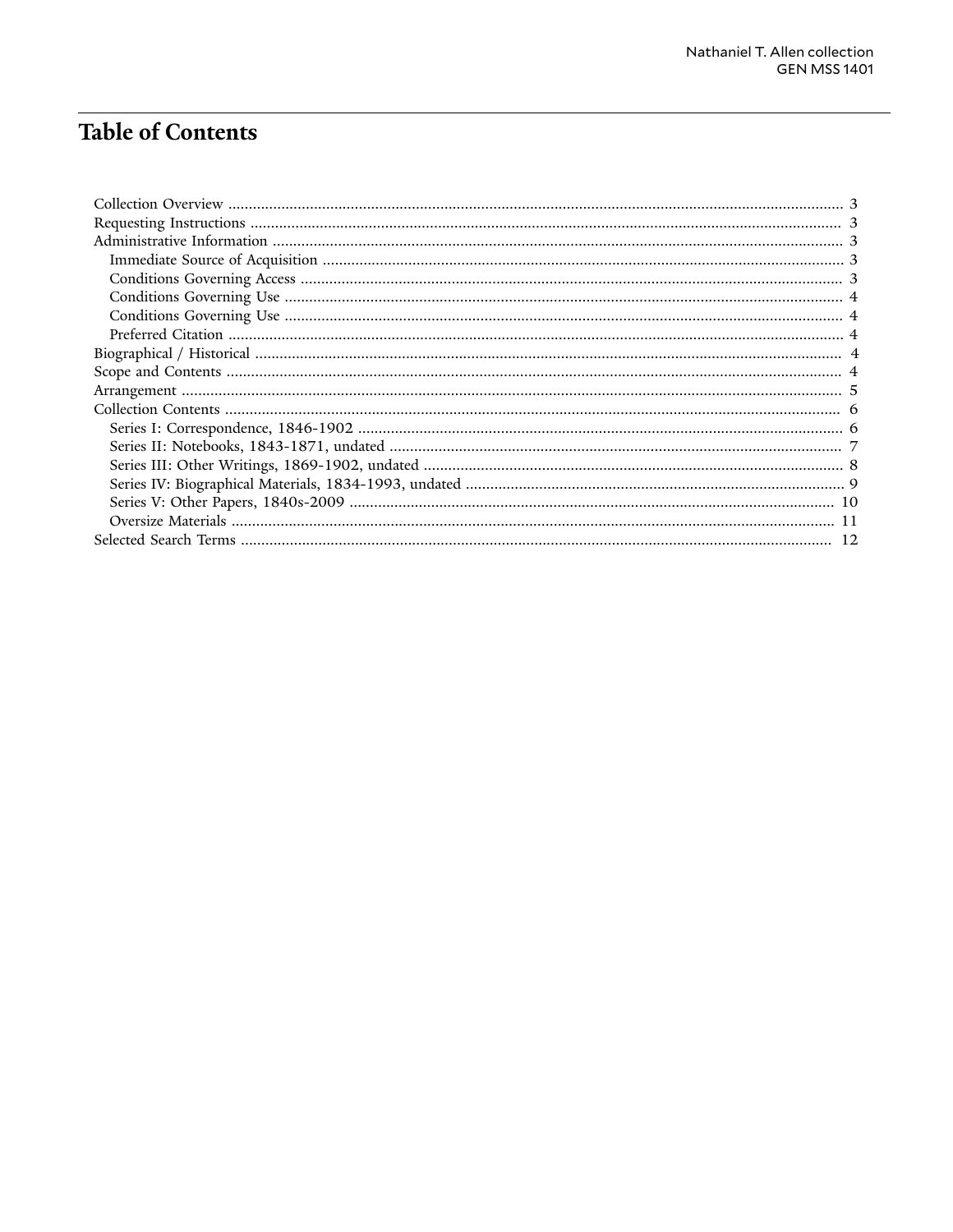## **Table of Contents**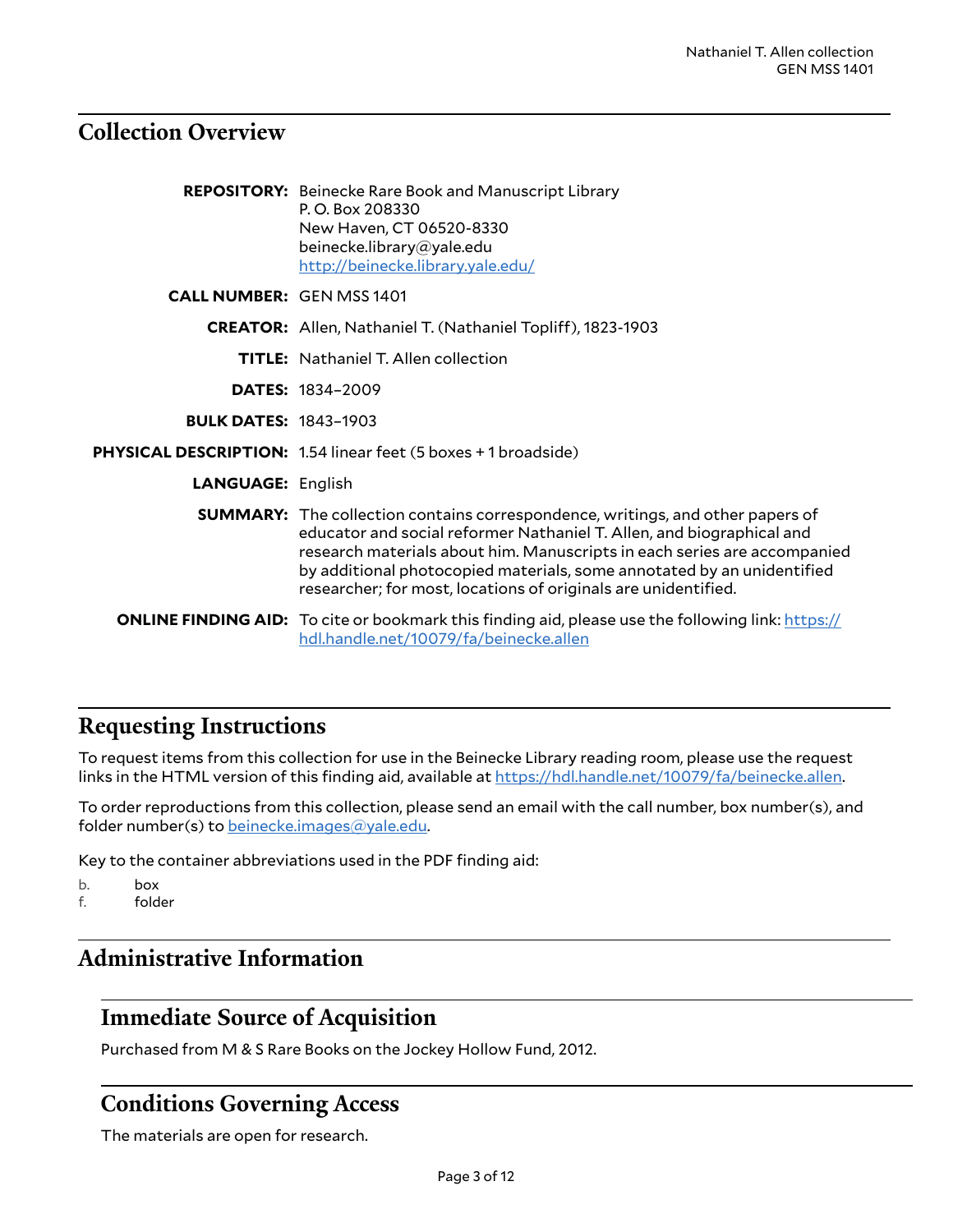### <span id="page-2-0"></span>**Collection Overview**

|                                  | <b>REPOSITORY:</b> Beinecke Rare Book and Manuscript Library<br>P.O. Box 208330<br>New Haven, CT 06520-8330<br>beinecke.library@yale.edu<br>http://beinecke.library.yale.edu/                                                                                                                                                                                                          |
|----------------------------------|----------------------------------------------------------------------------------------------------------------------------------------------------------------------------------------------------------------------------------------------------------------------------------------------------------------------------------------------------------------------------------------|
| <b>CALL NUMBER: GEN MSS 1401</b> |                                                                                                                                                                                                                                                                                                                                                                                        |
|                                  | <b>CREATOR:</b> Allen, Nathaniel T. (Nathaniel Topliff), 1823-1903                                                                                                                                                                                                                                                                                                                     |
|                                  | <b>TITLE:</b> Nathaniel T. Allen collection                                                                                                                                                                                                                                                                                                                                            |
|                                  | <b>DATES: 1834-2009</b>                                                                                                                                                                                                                                                                                                                                                                |
| <b>BULK DATES: 1843-1903</b>     |                                                                                                                                                                                                                                                                                                                                                                                        |
|                                  | PHYSICAL DESCRIPTION: 1.54 linear feet (5 boxes + 1 broadside)                                                                                                                                                                                                                                                                                                                         |
| <b>LANGUAGE: English</b>         |                                                                                                                                                                                                                                                                                                                                                                                        |
|                                  | <b>SUMMARY:</b> The collection contains correspondence, writings, and other papers of<br>educator and social reformer Nathaniel T. Allen, and biographical and<br>research materials about him. Manuscripts in each series are accompanied<br>by additional photocopied materials, some annotated by an unidentified<br>researcher; for most, locations of originals are unidentified. |
|                                  | <b>ONLINE FINDING AID:</b> To cite or bookmark this finding aid, please use the following link: https://<br>hdl.handle.net/10079/fa/beinecke.allen                                                                                                                                                                                                                                     |

### <span id="page-2-1"></span>**Requesting Instructions**

To request items from this collection for use in the Beinecke Library reading room, please use the request links in the HTML version of this finding aid, available at <https://hdl.handle.net/10079/fa/beinecke.allen>.

To order reproductions from this collection, please send an email with the call number, box number(s), and folder number(s) to [beinecke.images@yale.edu.](mailto:beinecke.images@yale.edu)

Key to the container abbreviations used in the PDF finding aid:

b. box f. folder

### <span id="page-2-2"></span>**Administrative Information**

### <span id="page-2-3"></span>**Immediate Source of Acquisition**

Purchased from M & S Rare Books on the Jockey Hollow Fund, 2012.

### <span id="page-2-4"></span>**Conditions Governing Access**

The materials are open for research.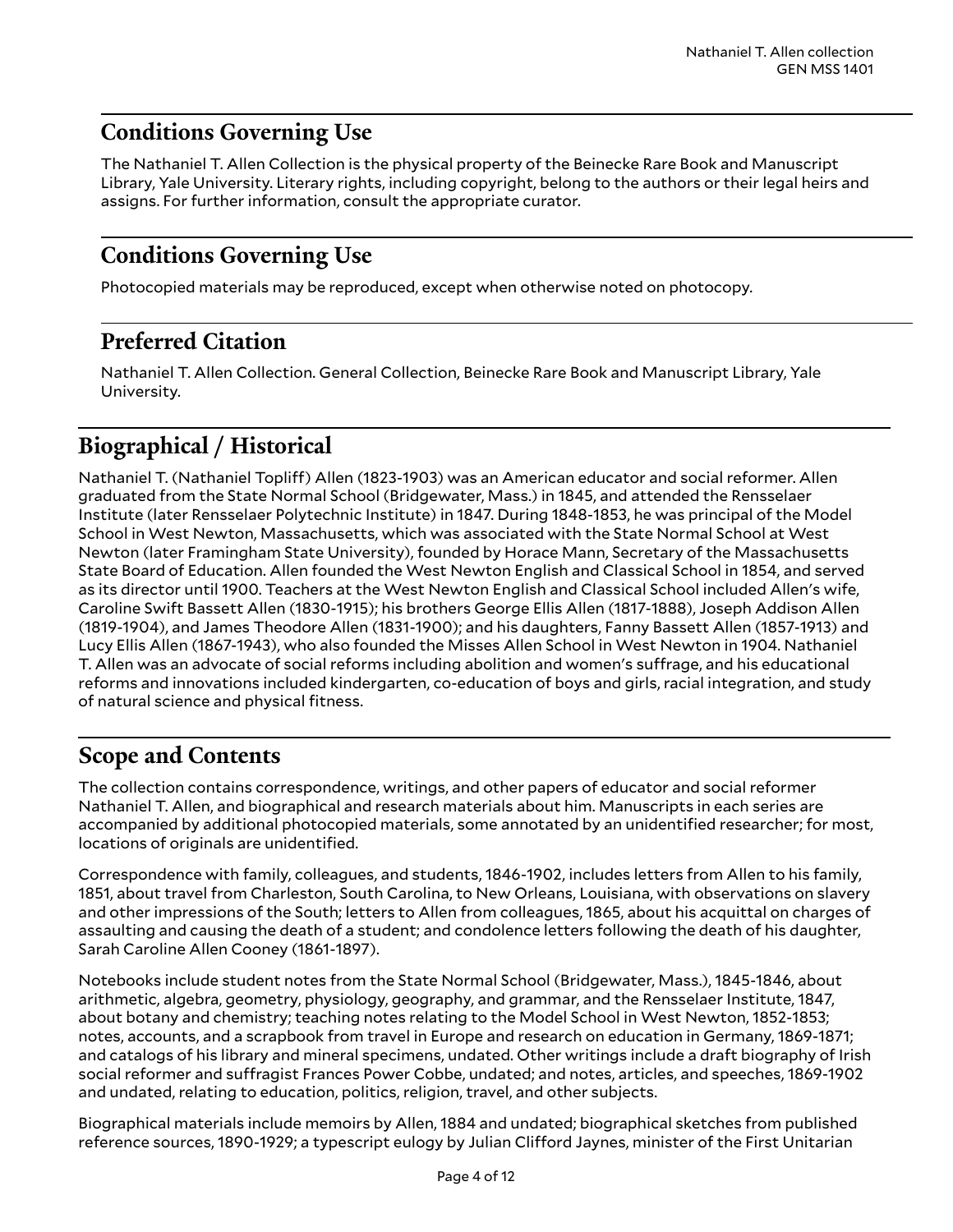### <span id="page-3-0"></span>**Conditions Governing Use**

The Nathaniel T. Allen Collection is the physical property of the Beinecke Rare Book and Manuscript Library, Yale University. Literary rights, including copyright, belong to the authors or their legal heirs and assigns. For further information, consult the appropriate curator.

## <span id="page-3-1"></span>**Conditions Governing Use**

Photocopied materials may be reproduced, except when otherwise noted on photocopy.

## <span id="page-3-2"></span>**Preferred Citation**

Nathaniel T. Allen Collection. General Collection, Beinecke Rare Book and Manuscript Library, Yale University.

## <span id="page-3-3"></span>**Biographical / Historical**

Nathaniel T. (Nathaniel Topliff) Allen (1823-1903) was an American educator and social reformer. Allen graduated from the State Normal School (Bridgewater, Mass.) in 1845, and attended the Rensselaer Institute (later Rensselaer Polytechnic Institute) in 1847. During 1848-1853, he was principal of the Model School in West Newton, Massachusetts, which was associated with the State Normal School at West Newton (later Framingham State University), founded by Horace Mann, Secretary of the Massachusetts State Board of Education. Allen founded the West Newton English and Classical School in 1854, and served as its director until 1900. Teachers at the West Newton English and Classical School included Allen's wife, Caroline Swift Bassett Allen (1830-1915); his brothers George Ellis Allen (1817-1888), Joseph Addison Allen (1819-1904), and James Theodore Allen (1831-1900); and his daughters, Fanny Bassett Allen (1857-1913) and Lucy Ellis Allen (1867-1943), who also founded the Misses Allen School in West Newton in 1904. Nathaniel T. Allen was an advocate of social reforms including abolition and women's suffrage, and his educational reforms and innovations included kindergarten, co-education of boys and girls, racial integration, and study of natural science and physical fitness.

### <span id="page-3-4"></span>**Scope and Contents**

The collection contains correspondence, writings, and other papers of educator and social reformer Nathaniel T. Allen, and biographical and research materials about him. Manuscripts in each series are accompanied by additional photocopied materials, some annotated by an unidentified researcher; for most, locations of originals are unidentified.

Correspondence with family, colleagues, and students, 1846-1902, includes letters from Allen to his family, 1851, about travel from Charleston, South Carolina, to New Orleans, Louisiana, with observations on slavery and other impressions of the South; letters to Allen from colleagues, 1865, about his acquittal on charges of assaulting and causing the death of a student; and condolence letters following the death of his daughter, Sarah Caroline Allen Cooney (1861-1897).

Notebooks include student notes from the State Normal School (Bridgewater, Mass.), 1845-1846, about arithmetic, algebra, geometry, physiology, geography, and grammar, and the Rensselaer Institute, 1847, about botany and chemistry; teaching notes relating to the Model School in West Newton, 1852-1853; notes, accounts, and a scrapbook from travel in Europe and research on education in Germany, 1869-1871; and catalogs of his library and mineral specimens, undated. Other writings include a draft biography of Irish social reformer and suffragist Frances Power Cobbe, undated; and notes, articles, and speeches, 1869-1902 and undated, relating to education, politics, religion, travel, and other subjects.

Biographical materials include memoirs by Allen, 1884 and undated; biographical sketches from published reference sources, 1890-1929; a typescript eulogy by Julian Clifford Jaynes, minister of the First Unitarian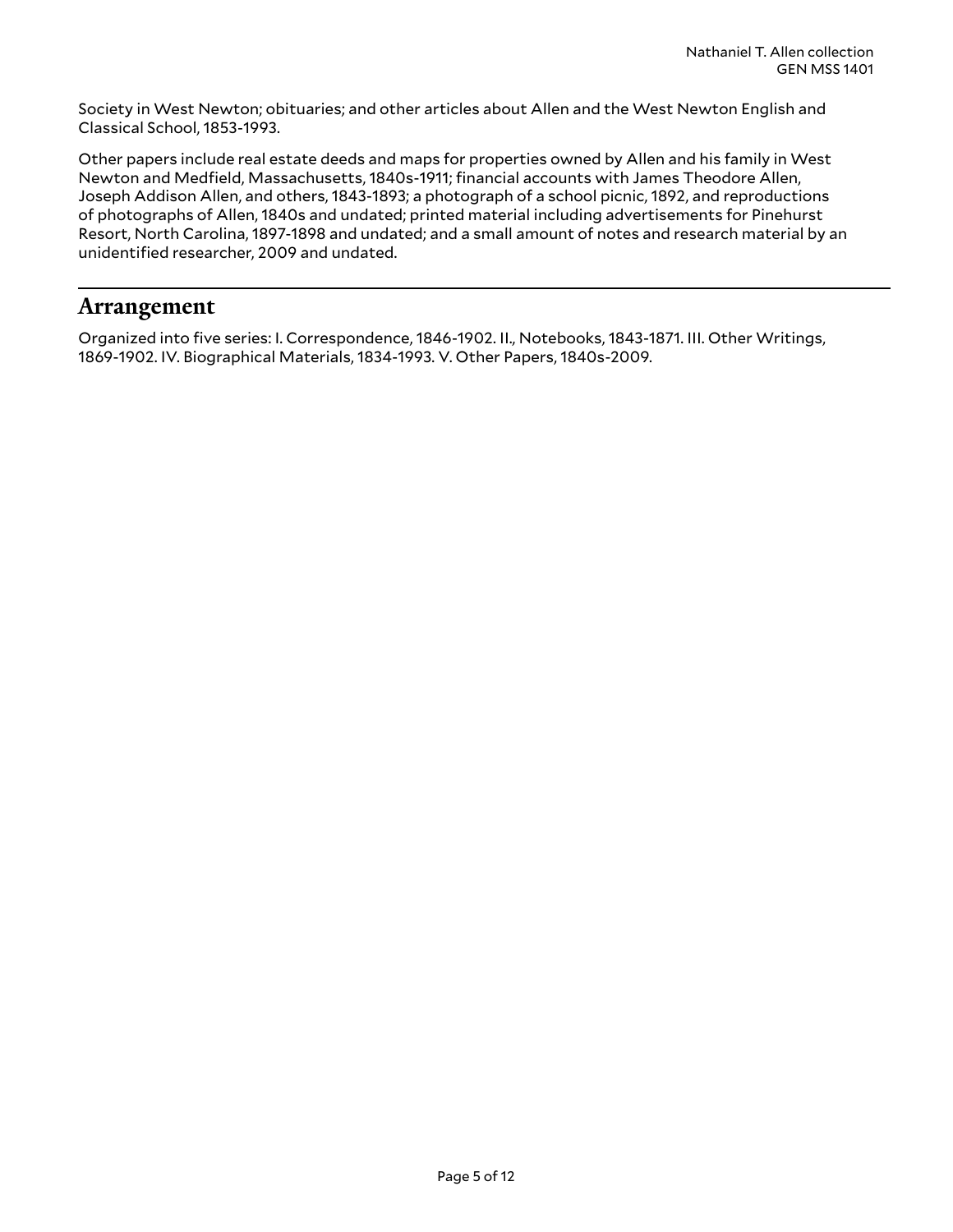Society in West Newton; obituaries; and other articles about Allen and the West Newton English and Classical School, 1853-1993.

Other papers include real estate deeds and maps for properties owned by Allen and his family in West Newton and Medfield, Massachusetts, 1840s-1911; financial accounts with James Theodore Allen, Joseph Addison Allen, and others, 1843-1893; a photograph of a school picnic, 1892, and reproductions of photographs of Allen, 1840s and undated; printed material including advertisements for Pinehurst Resort, North Carolina, 1897-1898 and undated; and a small amount of notes and research material by an unidentified researcher, 2009 and undated.

#### <span id="page-4-0"></span>**Arrangement**

Organized into five series: I. Correspondence, 1846-1902. II., Notebooks, 1843-1871. III. Other Writings, 1869-1902. IV. Biographical Materials, 1834-1993. V. Other Papers, 1840s-2009.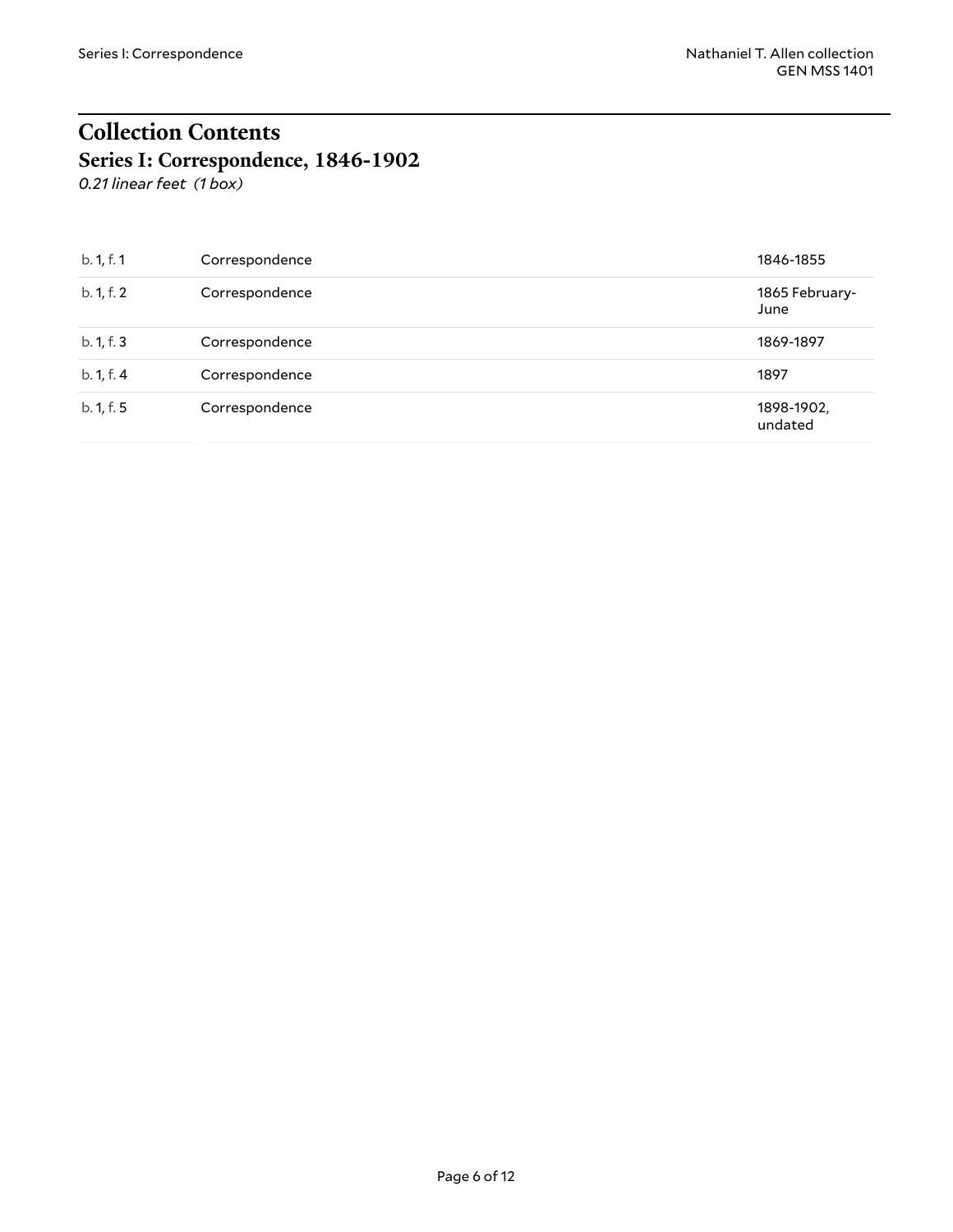## <span id="page-5-0"></span>**Collection Contents Series I: Correspondence, 1846-1902**

<span id="page-5-1"></span>*0.21 linear feet (1 box)*

| b. 1, f. 1 | Correspondence | 1846-1855              |
|------------|----------------|------------------------|
| b. 1, f. 2 | Correspondence | 1865 February-<br>June |
| b. 1, f. 3 | Correspondence | 1869-1897              |
| b. 1, f. 4 | Correspondence | 1897                   |
| b. 1, f. 5 | Correspondence | 1898-1902,<br>undated  |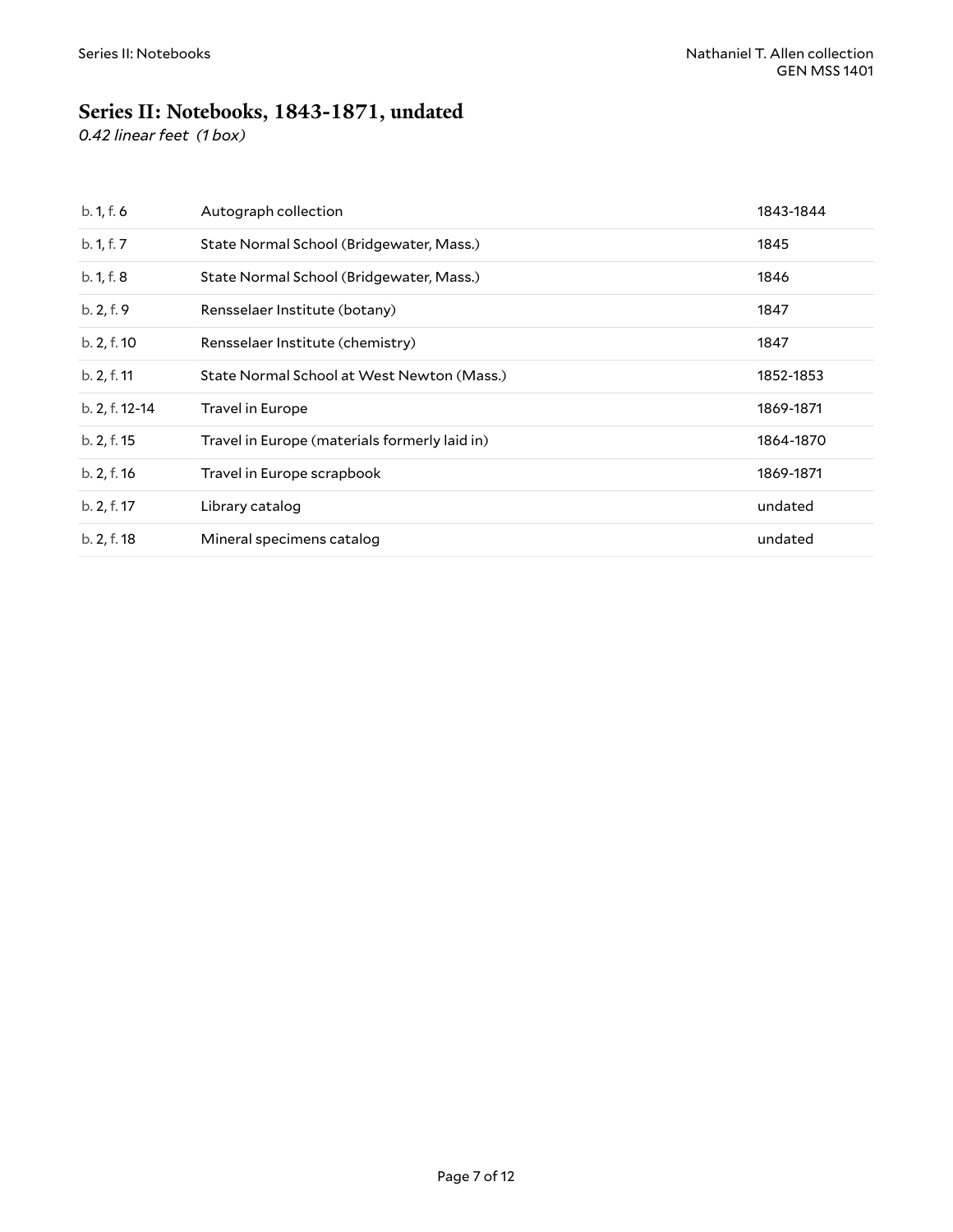## <span id="page-6-0"></span>**Series II: Notebooks, 1843-1871, undated**

*0.42 linear feet (1 box)*

| b. 1, f. 6     | Autograph collection                          | 1843-1844 |
|----------------|-----------------------------------------------|-----------|
| b. 1, f. 7     | State Normal School (Bridgewater, Mass.)      | 1845      |
| b. 1, f. 8     | State Normal School (Bridgewater, Mass.)      | 1846      |
| b. 2, f. 9     | Rensselaer Institute (botany)                 | 1847      |
| b. 2, f. 10    | Rensselaer Institute (chemistry)              | 1847      |
| b. 2, f. 11    | State Normal School at West Newton (Mass.)    | 1852-1853 |
| b. 2, f. 12-14 | Travel in Europe                              | 1869-1871 |
| b. 2, f. 15    | Travel in Europe (materials formerly laid in) | 1864-1870 |
| b. 2, f. 16    | Travel in Europe scrapbook                    | 1869-1871 |
| b. 2, f. 17    | Library catalog                               | undated   |
| b. 2, f. 18    | Mineral specimens catalog                     | undated   |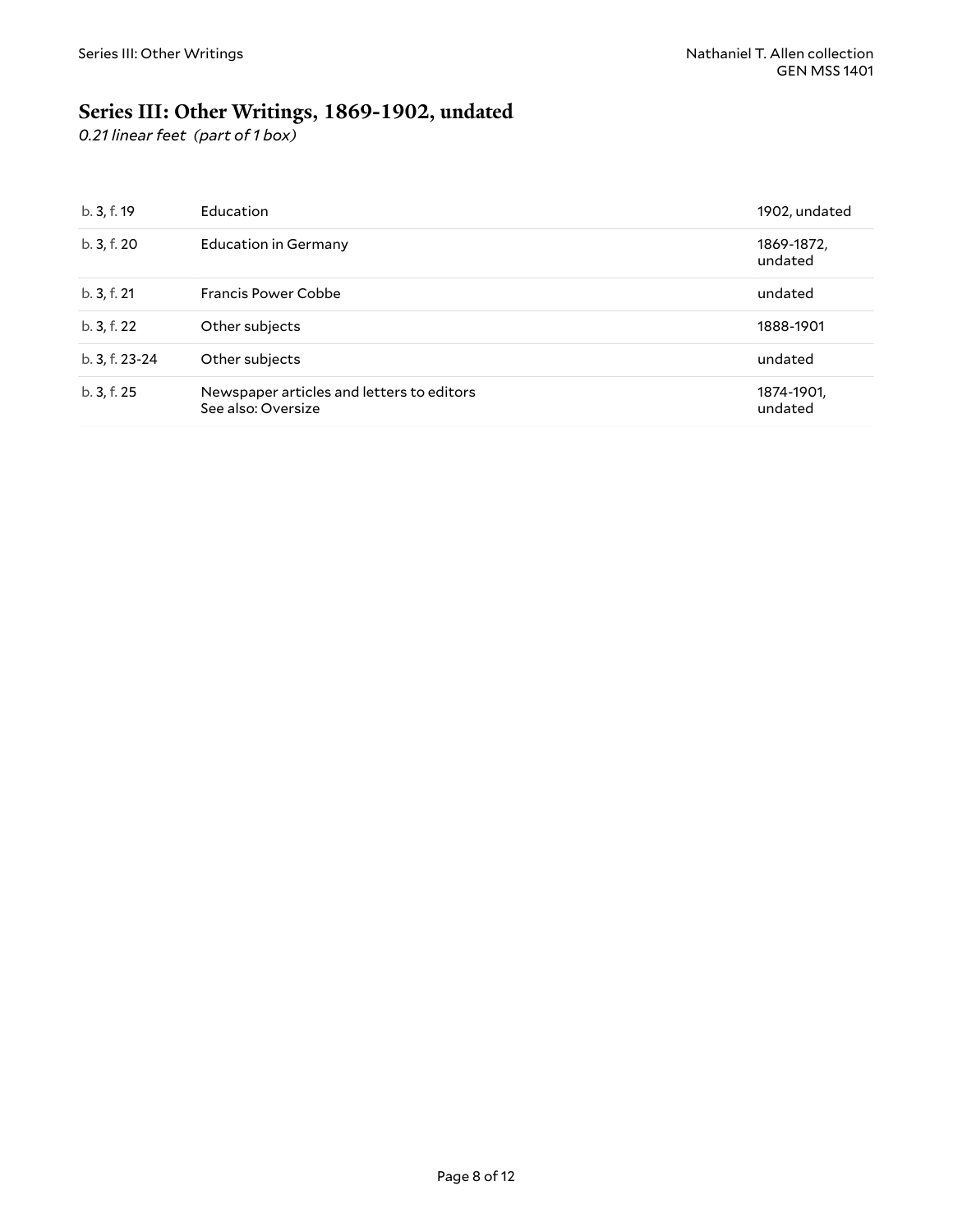## <span id="page-7-0"></span>**Series III: Other Writings, 1869-1902, undated**

*0.21 linear feet (part of 1 box)*

| b.3, f.19      | <b>Education</b>                                                | 1902, undated         |
|----------------|-----------------------------------------------------------------|-----------------------|
| b. 3, f. 20    | Education in Germany                                            | 1869-1872,<br>undated |
| b.3, f.21      | Francis Power Cobbe                                             | undated               |
| b. 3, f. 22    | Other subjects                                                  | 1888-1901             |
| b. 3, f. 23-24 | Other subjects                                                  | undated               |
| b. 3, f. 25    | Newspaper articles and letters to editors<br>See also: Oversize | 1874-1901,<br>undated |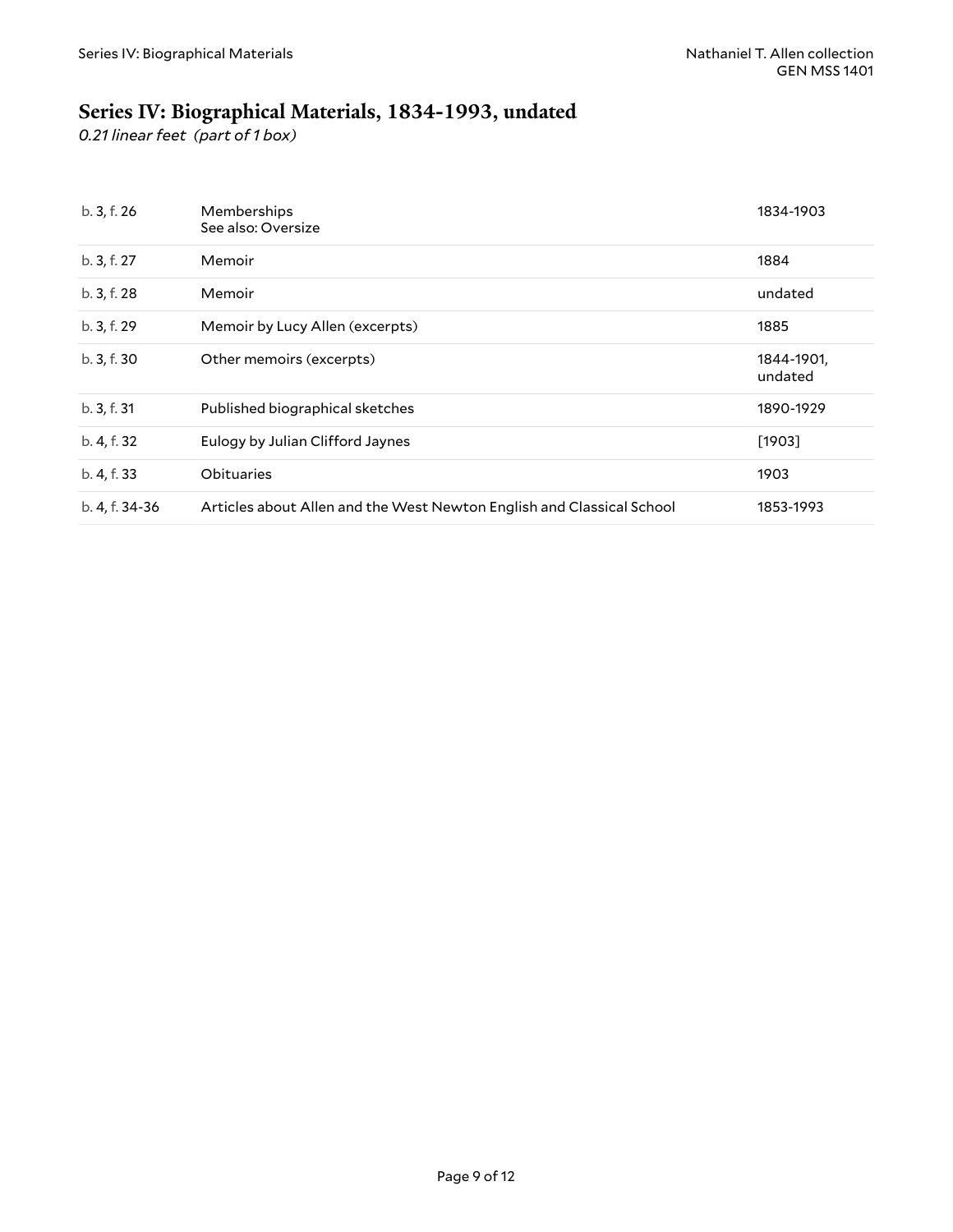## <span id="page-8-0"></span>**Series IV: Biographical Materials, 1834-1993, undated**

*0.21 linear feet (part of 1 box)*

| b. 3, f. 26    | Memberships<br>See also: Oversize                                     | 1834-1903             |
|----------------|-----------------------------------------------------------------------|-----------------------|
| b. 3, f. 27    | Memoir                                                                | 1884                  |
| b. 3, f. 28    | Memoir                                                                | undated               |
| b. 3, f. 29    | Memoir by Lucy Allen (excerpts)                                       | 1885                  |
| b. 3, f. 30    | Other memoirs (excerpts)                                              | 1844-1901,<br>undated |
| b.3, f.31      | Published biographical sketches                                       | 1890-1929             |
| b. 4, f. 32    | Eulogy by Julian Clifford Jaynes                                      | [1903]                |
| b. 4, f. 33    | Obituaries                                                            | 1903                  |
| b. 4, f. 34-36 | Articles about Allen and the West Newton English and Classical School | 1853-1993             |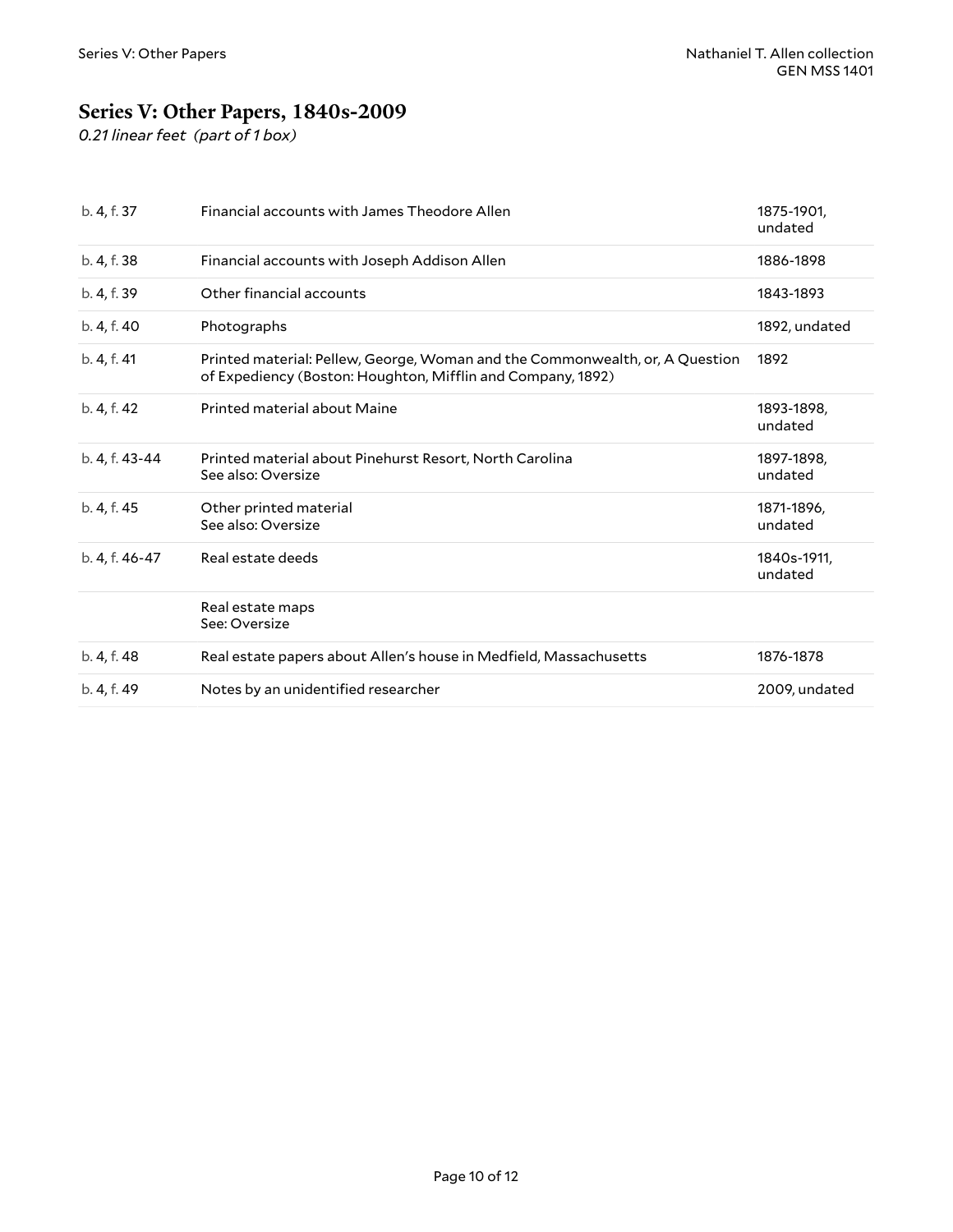## <span id="page-9-0"></span>**Series V: Other Papers, 1840s-2009**

*0.21 linear feet (part of 1 box)*

| b. 4, f. 37    | Financial accounts with James Theodore Allen                                                                                                | 1875-1901,<br>undated  |
|----------------|---------------------------------------------------------------------------------------------------------------------------------------------|------------------------|
| b. 4, f. 38    | Financial accounts with Joseph Addison Allen                                                                                                | 1886-1898              |
| b. 4, f. 39    | Other financial accounts                                                                                                                    | 1843-1893              |
| b. 4, f. 40    | Photographs                                                                                                                                 | 1892, undated          |
| b. 4, f. 41    | Printed material: Pellew, George, Woman and the Commonwealth, or, A Question<br>of Expediency (Boston: Houghton, Mifflin and Company, 1892) | 1892                   |
| b. 4, f. 42    | Printed material about Maine                                                                                                                | 1893-1898.<br>undated  |
| b. 4, f. 43-44 | Printed material about Pinehurst Resort, North Carolina<br>See also: Oversize                                                               | 1897-1898,<br>undated  |
| b. 4, f. 45    | Other printed material<br>See also: Oversize                                                                                                | 1871-1896,<br>undated  |
| b. 4, f. 46-47 | Real estate deeds                                                                                                                           | 1840s-1911.<br>undated |
|                | Real estate maps<br>See: Oversize                                                                                                           |                        |
| b. 4, f. 48    | Real estate papers about Allen's house in Medfield, Massachusetts                                                                           | 1876-1878              |
| b. 4, f. 49    | Notes by an unidentified researcher                                                                                                         | 2009, undated          |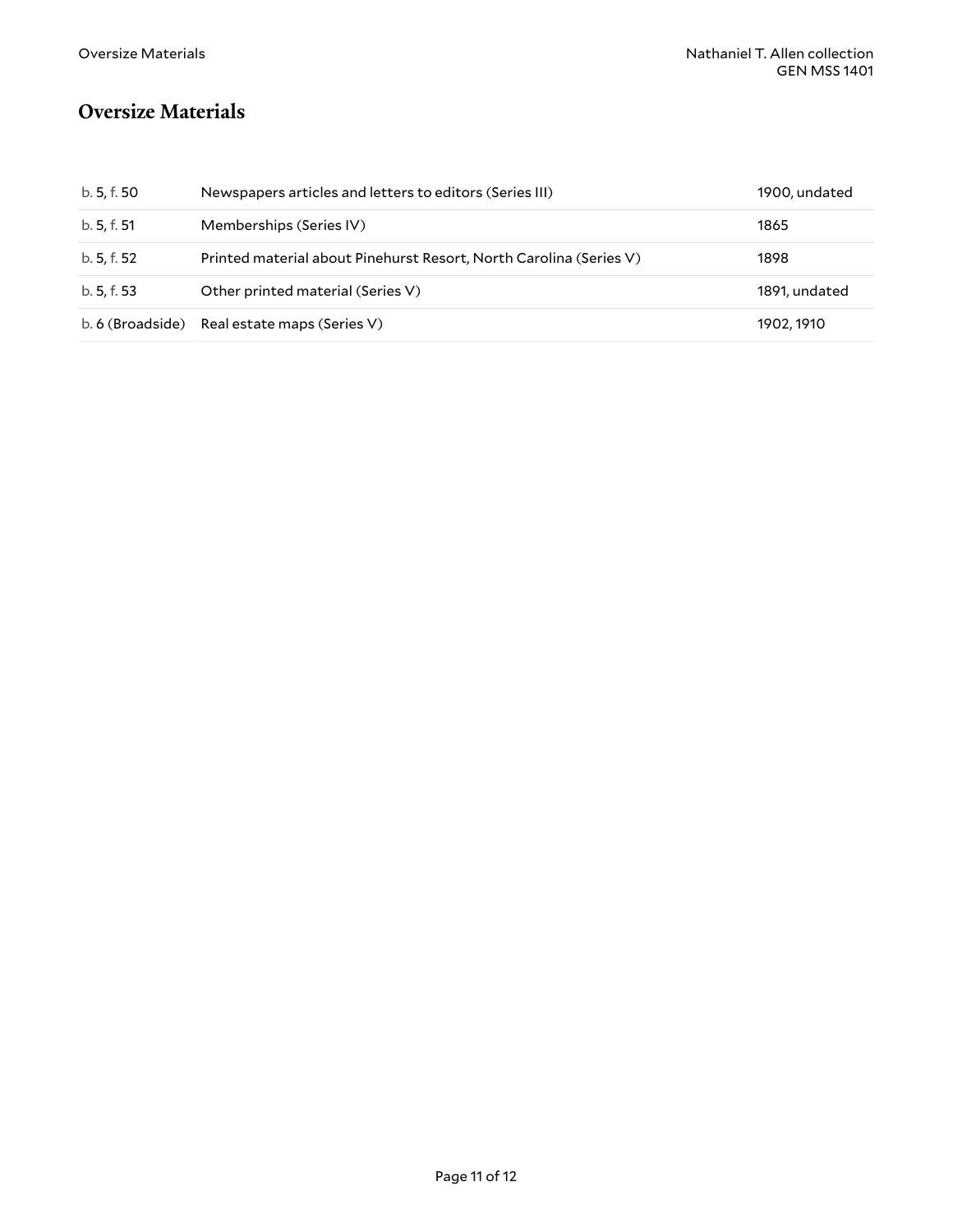### <span id="page-10-0"></span>**Oversize Materials**

| b. 5, f. 50      | Newspapers articles and letters to editors (Series III)            | 1900, undated |
|------------------|--------------------------------------------------------------------|---------------|
| b. 5, f. 51      | Memberships (Series IV)                                            | 1865          |
| b. 5, f. 52      | Printed material about Pinehurst Resort, North Carolina (Series V) | 1898          |
| b. 5, f. 53      | Other printed material (Series V)                                  | 1891, undated |
| b. 6 (Broadside) | Real estate maps (Series V)                                        | 1902, 1910    |